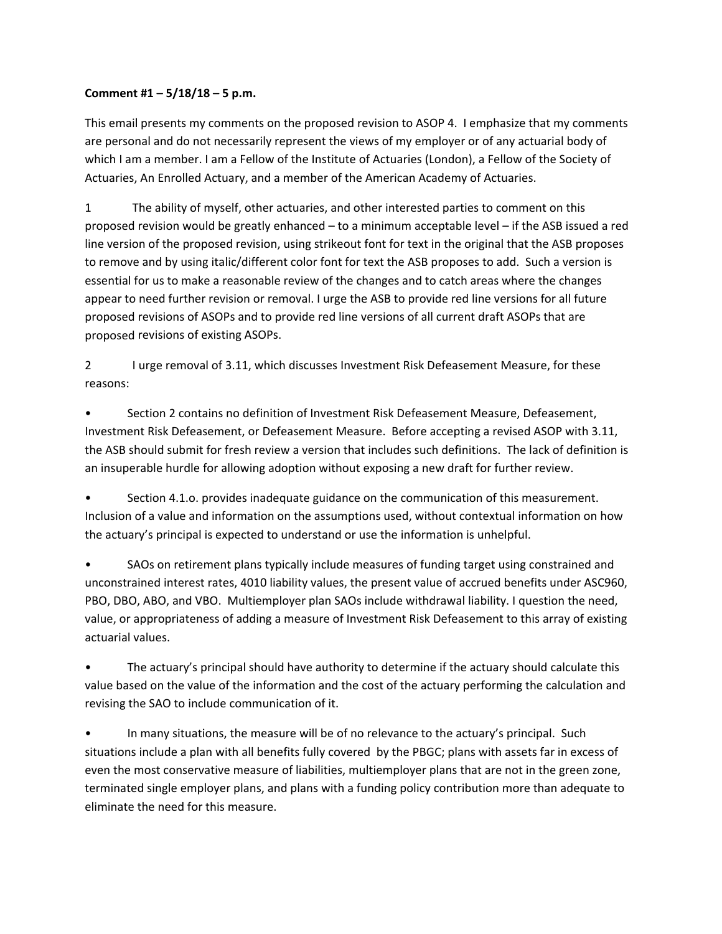## **Comment #1 – 5/18/18 – 5 p.m.**

This email presents my comments on the proposed revision to ASOP 4. I emphasize that my comments are personal and do not necessarily represent the views of my employer or of any actuarial body of which I am a member. I am a Fellow of the Institute of Actuaries (London), a Fellow of the Society of Actuaries, An Enrolled Actuary, and a member of the American Academy of Actuaries.

1 The ability of myself, other actuaries, and other interested parties to comment on this proposed revision would be greatly enhanced – to a minimum acceptable level – if the ASB issued a red line version of the proposed revision, using strikeout font for text in the original that the ASB proposes to remove and by using italic/different color font for text the ASB proposes to add. Such a version is essential for us to make a reasonable review of the changes and to catch areas where the changes appear to need further revision or removal. I urge the ASB to provide red line versions for all future proposed revisions of ASOPs and to provide red line versions of all current draft ASOPs that are proposed revisions of existing ASOPs.

2 I urge removal of 3.11, which discusses Investment Risk Defeasement Measure, for these reasons:

• Section 2 contains no definition of Investment Risk Defeasement Measure, Defeasement, Investment Risk Defeasement, or Defeasement Measure. Before accepting a revised ASOP with 3.11, the ASB should submit for fresh review a version that includes such definitions. The lack of definition is an insuperable hurdle for allowing adoption without exposing a new draft for further review.

• Section 4.1.o. provides inadequate guidance on the communication of this measurement. Inclusion of a value and information on the assumptions used, without contextual information on how the actuary's principal is expected to understand or use the information is unhelpful.

• SAOs on retirement plans typically include measures of funding target using constrained and unconstrained interest rates, 4010 liability values, the present value of accrued benefits under ASC960, PBO, DBO, ABO, and VBO. Multiemployer plan SAOs include withdrawal liability. I question the need, value, or appropriateness of adding a measure of Investment Risk Defeasement to this array of existing actuarial values.

• The actuary's principal should have authority to determine if the actuary should calculate this value based on the value of the information and the cost of the actuary performing the calculation and revising the SAO to include communication of it.

• In many situations, the measure will be of no relevance to the actuary's principal. Such situations include a plan with all benefits fully covered by the PBGC; plans with assets far in excess of even the most conservative measure of liabilities, multiemployer plans that are not in the green zone, terminated single employer plans, and plans with a funding policy contribution more than adequate to eliminate the need for this measure.